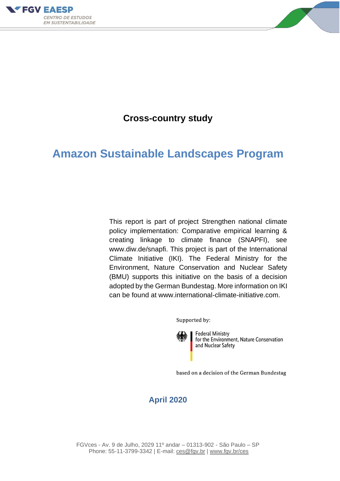



# **Cross-country study**

# **Amazon Sustainable Landscapes Program**

This report is part of project Strengthen national climate policy implementation: Comparative empirical learning & creating linkage to climate finance (SNAPFI), see www.diw.de/snapfi. This project is part of the International Climate Initiative (IKI). The Federal Ministry for the Environment, Nature Conservation and Nuclear Safety (BMU) supports this initiative on the basis of a decision adopted by the German Bundestag. More information on IKI can be found at www.international-climate-initiative.com.

Supported by:

**Federal Ministry** for the Environment, Nature Conservation and Nuclear Safety

based on a decision of the German Bundestag

# **April 2020**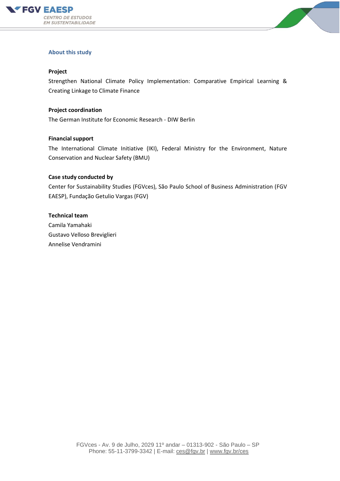



#### **About this study**

#### **Project**

Strengthen National Climate Policy Implementation: Comparative Empirical Learning & Creating Linkage to Climate Finance

#### **Project coordination**

The German Institute for Economic Research - DIW Berlin

#### **Financial support**

The International Climate Initiative (IKI), Federal Ministry for the Environment, Nature Conservation and Nuclear Safety (BMU)

#### **Case study conducted by**

Center for Sustainability Studies (FGVces), São Paulo School of Business Administration (FGV EAESP), Fundação Getulio Vargas (FGV)

#### **Technical team**

Camila Yamahaki Gustavo Velloso Breviglieri Annelise Vendramini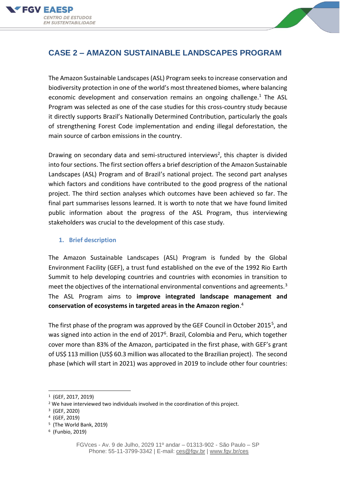



# **CASE 2 – AMAZON SUSTAINABLE LANDSCAPES PROGRAM**

The Amazon Sustainable Landscapes (ASL) Program seeks to increase conservation and biodiversity protection in one of the world's most threatened biomes, where balancing economic development and conservation remains an ongoing challenge.<sup>1</sup> The ASL Program was selected as one of the case studies for this cross-country study because it directly supports Brazil's Nationally Determined Contribution, particularly the goals of strengthening Forest Code implementation and ending illegal deforestation, the main source of carbon emissions in the country.

Drawing on secondary data and semi-structured interviews<sup>2</sup>, this chapter is divided into four sections. The first section offers a brief description of the Amazon Sustainable Landscapes (ASL) Program and of Brazil's national project. The second part analyses which factors and conditions have contributed to the good progress of the national project. The third section analyses which outcomes have been achieved so far. The final part summarises lessons learned. It is worth to note that we have found limited public information about the progress of the ASL Program, thus interviewing stakeholders was crucial to the development of this case study.

### **1. Brief description**

The Amazon Sustainable Landscapes (ASL) Program is funded by the Global Environment Facility (GEF), a trust fund established on the eve of the 1992 Rio Earth Summit to help developing countries and countries with economies in transition to meet the objectives of the international environmental conventions and agreements.<sup>3</sup> The ASL Program aims to **improve integrated landscape management and conservation of ecosystems in targeted areas in the Amazon region**. 4

The first phase of the program was approved by the GEF Council in October 2015<sup>5</sup>, and was signed into action in the end of 2017<sup>6</sup>. Brazil, Colombia and Peru, which together cover more than 83% of the Amazon, participated in the first phase, with GEF's grant of US\$ 113 million (US\$ 60.3 million was allocated to the Brazilian project). The second phase (which will start in 2021) was approved in 2019 to include other four countries:

<sup>1</sup> (GEF, 2017, 2019)

<sup>&</sup>lt;sup>2</sup> We have interviewed two individuals involved in the coordination of this project.

<sup>3</sup> (GEF, 2020)

<sup>4</sup> (GEF, 2019)

<sup>5</sup> (The World Bank, 2019)

<sup>6</sup> (Funbio, 2019)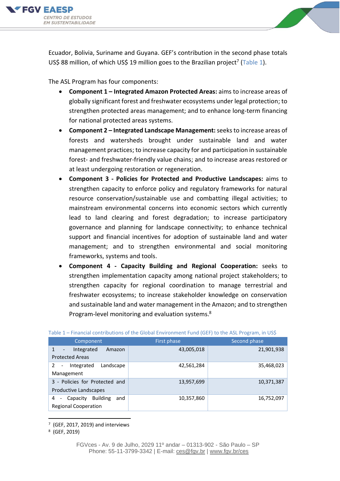



Ecuador, Bolivia, Suriname and Guyana. GEF's contribution in the second phase totals US\$ 88 million, of which US\$ 19 million goes to the Brazilian project<sup>7</sup> (Table 1).

The ASL Program has four components:

- **Component 1 – Integrated Amazon Protected Areas:** aims to increase areas of globally significant forest and freshwater ecosystems under legal protection; to strengthen protected areas management; and to enhance long-term financing for national protected areas systems.
- **Component 2 – Integrated Landscape Management:**seeks to increase areas of forests and watersheds brought under sustainable land and water management practices; to increase capacity for and participation in sustainable forest- and freshwater-friendly value chains; and to increase areas restored or at least undergoing restoration or regeneration.
- **Component 3 - Policies for Protected and Productive Landscapes:** aims to strengthen capacity to enforce policy and regulatory frameworks for natural resource conservation/sustainable use and combatting illegal activities; to mainstream environmental concerns into economic sectors which currently lead to land clearing and forest degradation; to increase participatory governance and planning for landscape connectivity; to enhance technical support and financial incentives for adoption of sustainable land and water management; and to strengthen environmental and social monitoring frameworks, systems and tools.
- **Component 4 - Capacity Building and Regional Cooperation:** seeks to strengthen implementation capacity among national project stakeholders; to strengthen capacity for regional coordination to manage terrestrial and freshwater ecosystems; to increase stakeholder knowledge on conservation and sustainable land and water management in the Amazon; and to strengthen Program-level monitoring and evaluation systems.<sup>8</sup>

| <b>THE REPORT CONTRACTORY OF CITY CONSTITUTION CONTRACTORY CONTRACTORY CONTRACTORY</b> |             |              |  |  |  |
|----------------------------------------------------------------------------------------|-------------|--------------|--|--|--|
| Component                                                                              | First phase | Second phase |  |  |  |
| Integrated<br>1<br>Amazon<br>$\overline{\phantom{a}}$<br><b>Protected Areas</b>        | 43,005,018  | 21,901,938   |  |  |  |
| Integrated<br>Landscape<br>$\mathcal{P}$<br>Management                                 | 42,561,284  | 35,468,023   |  |  |  |
| 3 - Policies for Protected and<br>Productive Landscapes                                | 13,957,699  | 10,371,387   |  |  |  |
| <b>Building</b><br>and<br>Capacity<br>4<br><b>Regional Cooperation</b>                 | 10,357,860  | 16,752,097   |  |  |  |

Table 1 – Financial contributions of the Global Environment Fund (GEF) to the ASL Program, in US\$

 $7$  (GEF, 2017, 2019) and interviews

<sup>8</sup> (GEF, 2019)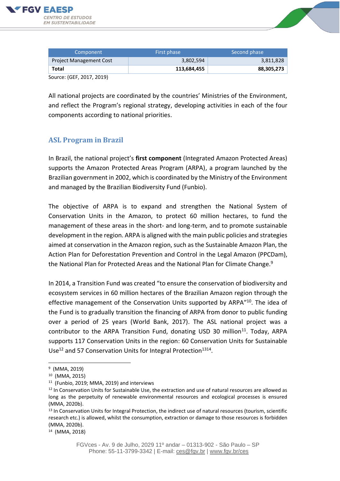



| Component                      | First phase | Second phase |  |
|--------------------------------|-------------|--------------|--|
| <b>Project Management Cost</b> | 3,802,594   | 3,811,828    |  |
| Total                          | 113,684,455 | 88,305,273   |  |
| Source: (GEF, 2017, 2019)      |             |              |  |

All national projects are coordinated by the countries' Ministries of the Environment, and reflect the Program's regional strategy, developing activities in each of the four components according to national priorities.

### **ASL Program in Brazil**

In Brazil, the national project's **first component** (Integrated Amazon Protected Areas) supports the Amazon Protected Areas Program (ARPA), a program launched by the Brazilian government in 2002, which is coordinated by the Ministry of the Environment and managed by the Brazilian Biodiversity Fund (Funbio).

The objective of ARPA is to expand and strengthen the National System of Conservation Units in the Amazon, to protect 60 million hectares, to fund the management of these areas in the short- and long-term, and to promote sustainable development in the region. ARPA is aligned with the main public policies and strategies aimed at conservation in the Amazon region, such asthe Sustainable Amazon Plan, the Action Plan for Deforestation Prevention and Control in the Legal Amazon (PPCDam), the National Plan for Protected Areas and the National Plan for Climate Change.<sup>9</sup>

In 2014, a Transition Fund was created "to ensure the conservation of biodiversity and ecosystem services in 60 million hectares of the Brazilian Amazon region through the effective management of the Conservation Units supported by ARPA"<sup>10</sup>. The idea of the Fund is to gradually transition the financing of ARPA from donor to public funding over a period of 25 years (World Bank, 2017). The ASL national project was a contributor to the ARPA Transition Fund, donating USD 30 million<sup>11</sup>. Today, ARPA supports 117 Conservation Units in the region: 60 Conservation Units for Sustainable Use<sup>12</sup> and 57 Conservation Units for Integral Protection<sup>1314</sup>.

<sup>&</sup>lt;sup>9</sup> (MMA, 2019)

<sup>10</sup> (MMA, 2015)

<sup>11</sup> (Funbio, 2019; MMA, 2019) and interviews

<sup>&</sup>lt;sup>12</sup> In Conservation Units for Sustainable Use, the extraction and use of natural resources are allowed as long as the perpetuity of renewable environmental resources and ecological processes is ensured (MMA, 2020b).

<sup>&</sup>lt;sup>13</sup> In Conservation Units for Integral Protection, the indirect use of natural resources (tourism, scientific research etc.) is allowed, whilst the consumption, extraction or damage to those resources is forbidden (MMA, 2020b).

<sup>14</sup> (MMA, 2018)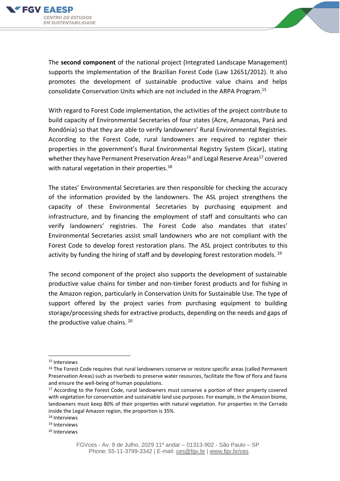



The **second component** of the national project (Integrated Landscape Management) supports the implementation of the Brazilian Forest Code (Law 12651/2012). It also promotes the development of sustainable productive value chains and helps consolidate Conservation Units which are not included in the ARPA Program.<sup>15</sup>

With regard to Forest Code implementation, the activities of the project contribute to build capacity of Environmental Secretaries of four states (Acre, Amazonas, Pará and Rondônia) so that they are able to verify landowners' Rural Environmental Registries. According to the Forest Code, rural landowners are required to register their properties in the government's Rural Environmental Registry System (Sicar), stating whether they have Permanent Preservation Areas<sup>16</sup> and Legal Reserve Areas<sup>17</sup> covered with natural vegetation in their properties.<sup>18</sup>

The states' Environmental Secretaries are then responsible for checking the accuracy of the information provided by the landowners. The ASL project strengthens the capacity of these Environmental Secretaries by purchasing equipment and infrastructure, and by financing the employment of staff and consultants who can verify landowners' registries. The Forest Code also mandates that states' Environmental Secretaries assist small landowners who are not compliant with the Forest Code to develop forest restoration plans. The ASL project contributes to this activity by funding the hiring of staff and by developing forest restoration models.  $^{19}$ 

The second component of the project also supports the development of sustainable productive value chains for timber and non-timber forest products and for fishing in the Amazon region, particularly in Conservation Units for Sustainable Use. The type of support offered by the project varies from purchasing equipment to building storage/processing shedsfor extractive products, depending on the needs and gaps of the productive value chains. <sup>20</sup>

<sup>15</sup> Interviews

<sup>&</sup>lt;sup>16</sup> The Forest Code requires that rural landowners conserve or restore specific areas (called Permanent Preservation Areas) such as riverbeds to preserve water resources, facilitate the flow of flora and fauna and ensure the well-being of human populations.

<sup>&</sup>lt;sup>17</sup> According to the Forest Code, rural landowners must conserve a portion of their property covered with vegetation for conservation and sustainable land use purposes. For example, in the Amazon biome, landowners must keep 80% of their properties with natural vegetation. For properties in the Cerrado inside the Legal Amazon region, the proportion is 35%.

<sup>18</sup> Interviews

<sup>19</sup> Interviews

<sup>20</sup> Interviews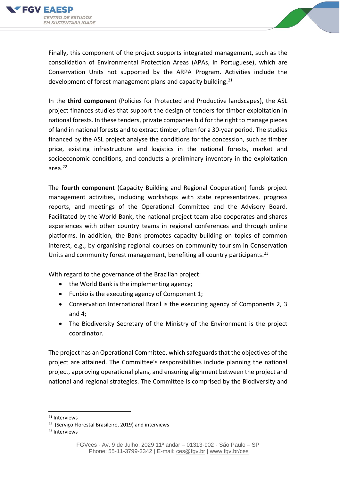



Finally, this component of the project supports integrated management, such as the consolidation of Environmental Protection Areas (APAs, in Portuguese), which are Conservation Units not supported by the ARPA Program. Activities include the development of forest management plans and capacity building.<sup>21</sup>

In the **third component** (Policies for Protected and Productive landscapes), the ASL project finances studies that support the design of tenders for timber exploitation in national forests. In these tenders, private companies bid for the right to manage pieces of land in national forests and to extract timber, often for a 30-year period. The studies financed by the ASL project analyse the conditions for the concession, such as timber price, existing infrastructure and logistics in the national forests, market and socioeconomic conditions, and conducts a preliminary inventory in the exploitation area. 22

The **fourth component** (Capacity Building and Regional Cooperation) funds project management activities, including workshops with state representatives, progress reports, and meetings of the Operational Committee and the Advisory Board. Facilitated by the World Bank, the national project team also cooperates and shares experiences with other country teams in regional conferences and through online platforms. In addition, the Bank promotes capacity building on topics of common interest, e.g., by organising regional courses on community tourism in Conservation Units and community forest management, benefiting all country participants.<sup>23</sup>

With regard to the governance of the Brazilian project:

- the World Bank is the implementing agency;
- Funbio is the executing agency of Component 1;
- Conservation International Brazil is the executing agency of Components 2, 3 and 4;
- The Biodiversity Secretary of the Ministry of the Environment is the project coordinator.

The project has an Operational Committee, which safeguards that the objectives of the project are attained. The Committee's responsibilities include planning the national project, approving operational plans, and ensuring alignment between the project and national and regional strategies. The Committee is comprised by the Biodiversity and

<sup>21</sup> Interviews

<sup>22</sup> (Serviço Florestal Brasileiro, 2019) and interviews

<sup>23</sup> Interviews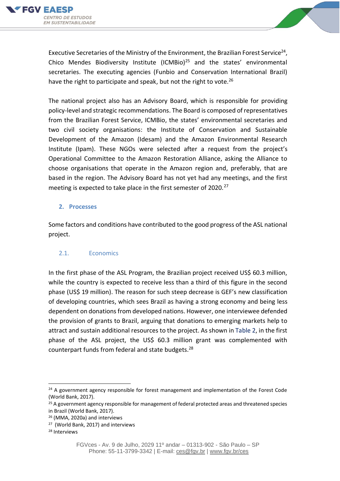



Executive Secretaries of the Ministry of the Environment, the Brazilian Forest Service<sup>24</sup>, Chico Mendes Biodiversity Institute (ICMBio)<sup>25</sup> and the states' environmental secretaries. The executing agencies (Funbio and Conservation International Brazil) have the right to participate and speak, but not the right to vote. $^{26}$ 

The national project also has an Advisory Board, which is responsible for providing policy-level and strategic recommendations. The Board is composed of representatives from the Brazilian Forest Service, ICMBio, the states' environmental secretaries and two civil society organisations: the Institute of Conservation and Sustainable Development of the Amazon (Idesam) and the Amazon Environmental Research Institute (Ipam). These NGOs were selected after a request from the project's Operational Committee to the Amazon Restoration Alliance, asking the Alliance to choose organisations that operate in the Amazon region and, preferably, that are based in the region. The Advisory Board has not yet had any meetings, and the first meeting is expected to take place in the first semester of  $2020.<sup>27</sup>$ 

### **2. Processes**

Some factors and conditions have contributed to the good progress of the ASL national project.

### 2.1. Economics

In the first phase of the ASL Program, the Brazilian project received US\$ 60.3 million, while the country is expected to receive less than a third of this figure in the second phase (US\$ 19 million). The reason for such steep decrease is GEF's new classification of developing countries, which sees Brazil as having a strong economy and being less dependent on donations from developed nations. However, one interviewee defended the provision of grants to Brazil, arguing that donations to emerging markets help to attract and sustain additional resources to the project. As shown in Table 2, in the first phase of the ASL project, the US\$ 60.3 million grant was complemented with counterpart funds from federal and state budgets.<sup>28</sup>

 $24$  A government agency responsible for forest management and implementation of the Forest Code (World Bank, 2017).

 $25$  A government agency responsible for management of federal protected areas and threatened species in Brazil (World Bank, 2017).

<sup>26</sup> (MMA, 2020a) and interviews

<sup>27</sup> (World Bank, 2017) and interviews

<sup>28</sup> Interviews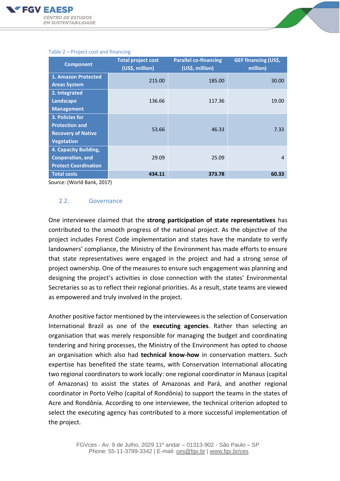

| <b>Component</b>                                                                           | <b>Total project cost</b><br>(US\$, million) | <b>Parallel co-financing</b><br>(US\$, million) | <b>GEF financing (US\$,</b><br>million) |
|--------------------------------------------------------------------------------------------|----------------------------------------------|-------------------------------------------------|-----------------------------------------|
| 1. Amazon Protected<br><b>Areas System</b>                                                 | 215.00                                       | 185.00                                          | 30.00                                   |
| 2. Integrated<br>Landscape<br><b>Management</b>                                            | 136.66                                       | 117.36                                          | 19.00                                   |
| 3. Policies for<br><b>Protection and</b><br><b>Recovery of Native</b><br><b>Vegetation</b> | 53.66                                        | 46.33                                           | 7.33                                    |
| 4. Capacity Building,<br><b>Cooperation, and</b><br><b>Protect Coordination</b>            | 29.09                                        | 25.09                                           | 4                                       |
| <b>Total costs</b>                                                                         | 434.11                                       | 373.78                                          | 60.33                                   |

#### Table 2 – Project cost and financing

Source: (World Bank, 2017)

### 2.2. Governance

One interviewee claimed that the **strong participation of state representatives** has contributed to the smooth progress of the national project. As the objective of the project includes Forest Code implementation and states have the mandate to verify landowners' compliance, the Ministry of the Environment has made efforts to ensure that state representatives were engaged in the project and had a strong sense of project ownership. One of the measures to ensure such engagement was planning and designing the project's activities in close connection with the states' Environmental Secretaries so as to reflect their regional priorities. As a result, state teams are viewed as empowered and truly involved in the project.

Another positive factor mentioned by the interviewees is the selection of Conservation International Brazil as one of the **executing agencies**. Rather than selecting an organisation that was merely responsible for managing the budget and coordinating tendering and hiring processes, the Ministry of the Environment has opted to choose an organisation which also had **technical know-how** in conservation matters. Such expertise has benefited the state teams, with Conservation International allocating two regional coordinators to work locally: one regional coordinator in Manaus (capital of Amazonas) to assist the states of Amazonas and Pará, and another regional coordinator in Porto Velho (capital of Rondônia) to support the teams in the states of Acre and Rondônia. According to one interviewee, the technical criterion adopted to select the executing agency has contributed to a more successful implementation of the project.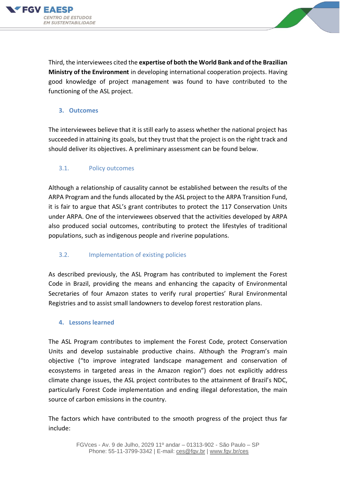



Third, the interviewees cited the **expertise of both the World Bank and of the Brazilian Ministry of the Environment** in developing international cooperation projects. Having good knowledge of project management was found to have contributed to the functioning of the ASL project.

### **3. Outcomes**

The interviewees believe that it is still early to assess whether the national project has succeeded in attaining its goals, but they trust that the project is on the right track and should deliver its objectives. A preliminary assessment can be found below.

### 3.1. Policy outcomes

Although a relationship of causality cannot be established between the results of the ARPA Program and the funds allocated by the ASL project to the ARPA Transition Fund, it is fair to argue that ASL's grant contributes to protect the 117 Conservation Units under ARPA. One of the interviewees observed that the activities developed by ARPA also produced social outcomes, contributing to protect the lifestyles of traditional populations, such as indigenous people and riverine populations.

### 3.2. Implementation of existing policies

As described previously, the ASL Program has contributed to implement the Forest Code in Brazil, providing the means and enhancing the capacity of Environmental Secretaries of four Amazon states to verify rural properties' Rural Environmental Registries and to assist small landowners to develop forest restoration plans.

### **4. Lessons learned**

The ASL Program contributes to implement the Forest Code, protect Conservation Units and develop sustainable productive chains. Although the Program's main objective ("to improve integrated landscape management and conservation of ecosystems in targeted areas in the Amazon region") does not explicitly address climate change issues, the ASL project contributes to the attainment of Brazil's NDC, particularly Forest Code implementation and ending illegal deforestation, the main source of carbon emissions in the country.

The factors which have contributed to the smooth progress of the project thus far include: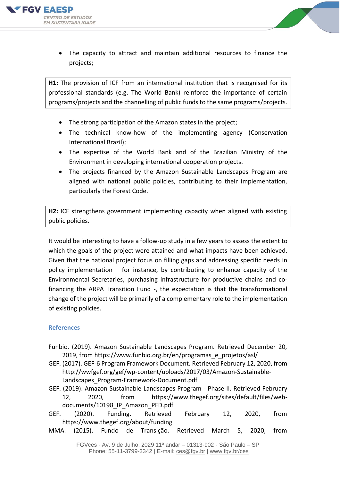



• The capacity to attract and maintain additional resources to finance the projects;

**H1:** The provision of ICF from an international institution that is recognised for its professional standards (e.g. The World Bank) reinforce the importance of certain programs/projects and the channelling of public funds to the same programs/projects.

- The strong participation of the Amazon states in the project;
- The technical know-how of the implementing agency (Conservation International Brazil);
- The expertise of the World Bank and of the Brazilian Ministry of the Environment in developing international cooperation projects.
- The projects financed by the Amazon Sustainable Landscapes Program are aligned with national public policies, contributing to their implementation, particularly the Forest Code.

**H2:** ICF strengthens government implementing capacity when aligned with existing public policies.

It would be interesting to have a follow-up study in a few years to assess the extent to which the goals of the project were attained and what impacts have been achieved. Given that the national project focus on filling gaps and addressing specific needs in policy implementation – for instance, by contributing to enhance capacity of the Environmental Secretaries, purchasing infrastructure for productive chains and cofinancing the ARPA Transition Fund -, the expectation is that the transformational change of the project will be primarily of a complementary role to the implementation of existing policies.

### **References**

- Funbio. (2019). Amazon Sustainable Landscapes Program. Retrieved December 20, 2019, from https://www.funbio.org.br/en/programas\_e\_projetos/asl/
- GEF. (2017). GEF-6 Program Framework Document. Retrieved February 12, 2020, from http://wwfgef.org/gef/wp-content/uploads/2017/03/Amazon-Sustainable-Landscapes\_Program-Framework-Document.pdf
- GEF. (2019). Amazon Sustainable Landscapes Program Phase II. Retrieved February 12, 2020, from https://www.thegef.org/sites/default/files/webdocuments/10198 IP Amazon PFD.pdf
- GEF. (2020). Funding. Retrieved February 12, 2020, from https://www.thegef.org/about/funding
- MMA. (2015). Fundo de Transição. Retrieved March 5, 2020, from